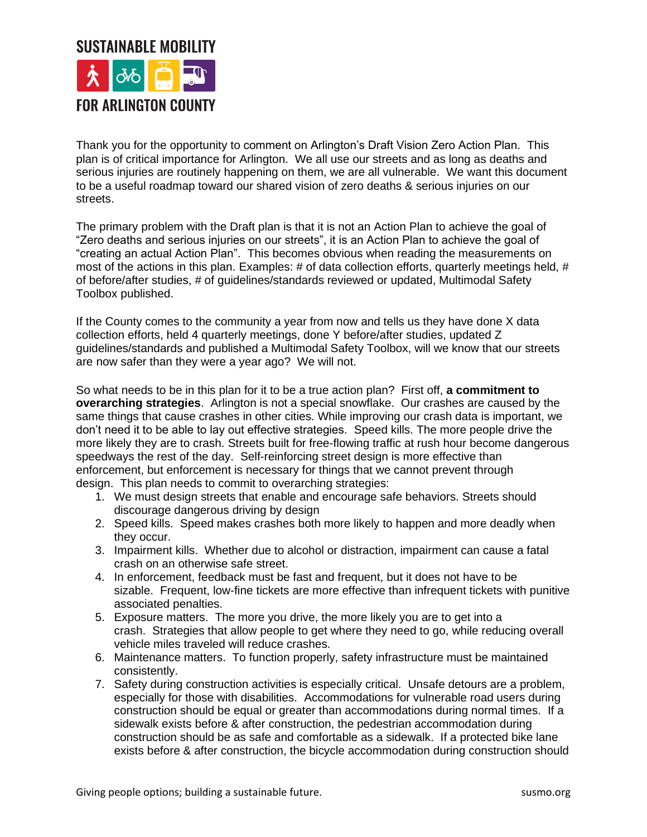## **SUSTAINABLE MOBILITY FOR ARLINGTON COUNTY**

Thank you for the opportunity to comment on Arlington's Draft Vision Zero Action Plan. This plan is of critical importance for Arlington. We all use our streets and as long as deaths and serious injuries are routinely happening on them, we are all vulnerable. We want this document to be a useful roadmap toward our shared vision of zero deaths & serious injuries on our streets.

The primary problem with the Draft plan is that it is not an Action Plan to achieve the goal of "Zero deaths and serious injuries on our streets", it is an Action Plan to achieve the goal of "creating an actual Action Plan". This becomes obvious when reading the measurements on most of the actions in this plan. Examples: # of data collection efforts, quarterly meetings held, # of before/after studies, # of guidelines/standards reviewed or updated, Multimodal Safety Toolbox published.

If the County comes to the community a year from now and tells us they have done X data collection efforts, held 4 quarterly meetings, done Y before/after studies, updated Z guidelines/standards and published a Multimodal Safety Toolbox, will we know that our streets are now safer than they were a year ago? We will not.

So what needs to be in this plan for it to be a true action plan? First off, **a commitment to overarching strategies**. Arlington is not a special snowflake. Our crashes are caused by the same things that cause crashes in other cities. While improving our crash data is important, we don't need it to be able to lay out effective strategies. Speed kills. The more people drive the more likely they are to crash. Streets built for free-flowing traffic at rush hour become dangerous speedways the rest of the day. Self-reinforcing street design is more effective than enforcement, but enforcement is necessary for things that we cannot prevent through design. This plan needs to commit to overarching strategies:

- 1. We must design streets that enable and encourage safe behaviors. Streets should discourage dangerous driving by design
- 2. Speed kills. Speed makes crashes both more likely to happen and more deadly when they occur.
- 3. Impairment kills. Whether due to alcohol or distraction, impairment can cause a fatal crash on an otherwise safe street.
- 4. In enforcement, feedback must be fast and frequent, but it does not have to be sizable. Frequent, low-fine tickets are more effective than infrequent tickets with punitive associated penalties.
- 5. Exposure matters. The more you drive, the more likely you are to get into a crash. Strategies that allow people to get where they need to go, while reducing overall vehicle miles traveled will reduce crashes.
- 6. Maintenance matters. To function properly, safety infrastructure must be maintained consistently.
- 7. Safety during construction activities is especially critical. Unsafe detours are a problem, especially for those with disabilities. Accommodations for vulnerable road users during construction should be equal or greater than accommodations during normal times. If a sidewalk exists before & after construction, the pedestrian accommodation during construction should be as safe and comfortable as a sidewalk. If a protected bike lane exists before & after construction, the bicycle accommodation during construction should